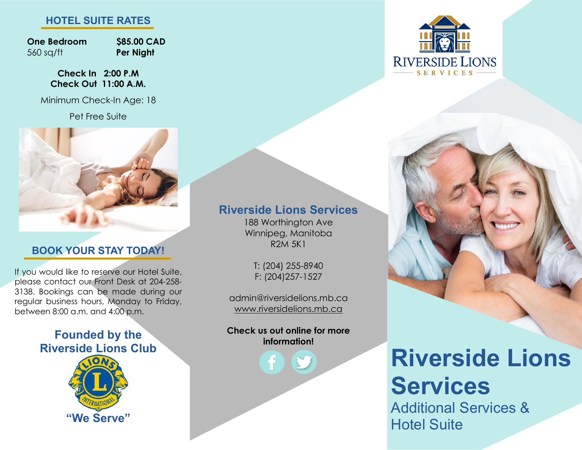#### **HOTEL SUITE RATES**

**One Bedroom \$85.00 CAD** 560 sq/ft **Per Night**

#### **Check In 2:00 P.M Check Out 11:00 A.M.**

Minimum Check-In Age: 18

Pet Free Suite



## **BOOK YOUR STAY TODAY!**

If you would like to reserve our Hotel Suite, please contact our Front Desk at 204-258- 3138. Bookings can be made during our regular business hours, Monday to Friday, between 8:00 a.m. and 4:00 p.m.

## **Founded by the Riverside Lions Club**





## **Riverside Lions Services**

188 Worthington Ave Winnipeg, Manitoba R2M 5K1

T: (204) 255-8940 F: (204)257-1527

admin@riversidelions.mb.ca www.riversidelions.mb.ca

**Check us out online for more information!**

# **Riverside Lions Services**

Additional Services & Hotel Suite